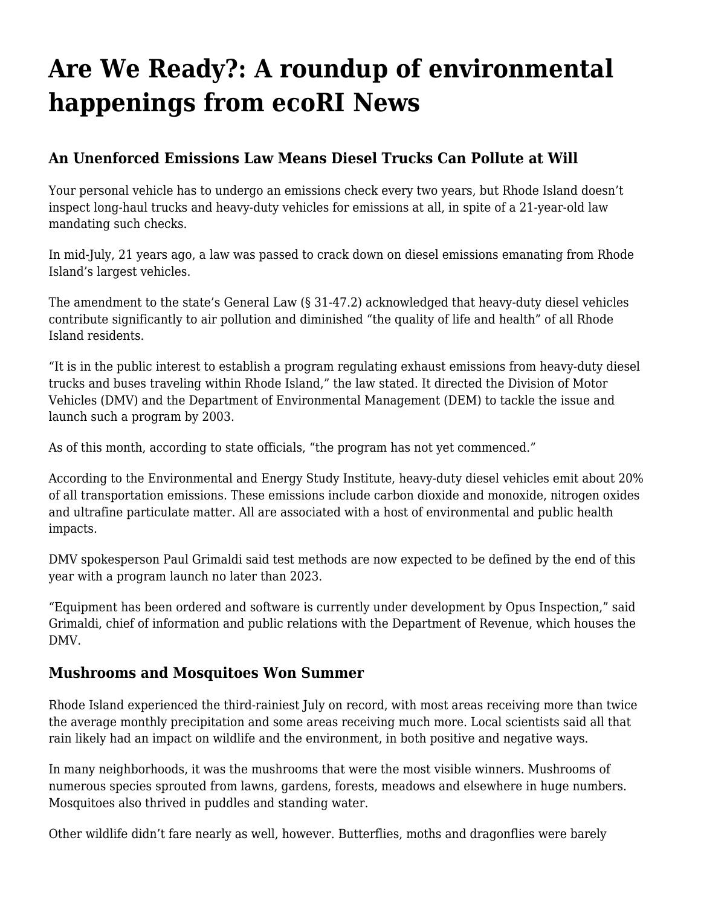## **[Are We Ready?: A roundup of environmental](https://motifri.com/ecorisep2021/) [happenings from ecoRI News](https://motifri.com/ecorisep2021/)**

## **An Unenforced Emissions Law Means Diesel Trucks Can Pollute at Will**

Your personal vehicle has to undergo an emissions check every two years, but Rhode Island doesn't inspect long-haul trucks and heavy-duty vehicles for emissions at all, in spite of a 21-year-old law mandating such checks.

In mid-July, 21 years ago, a law was passed to crack down on diesel emissions emanating from Rhode Island's largest vehicles.

The amendment to the state's General Law (§ 31-47.2) acknowledged that heavy-duty diesel vehicles contribute significantly to air pollution and diminished "the quality of life and health" of all Rhode Island residents.

"It is in the public interest to establish a program regulating exhaust emissions from heavy-duty diesel trucks and buses traveling within Rhode Island," the law stated. It directed the Division of Motor Vehicles (DMV) and the Department of Environmental Management (DEM) to tackle the issue and launch such a program by 2003.

As of this month, according to state officials, "the program has not yet commenced."

According to the Environmental and Energy Study Institute, heavy-duty diesel vehicles emit about 20% of all transportation emissions. These emissions include carbon dioxide and monoxide, nitrogen oxides and ultrafine particulate matter. All are associated with a host of environmental and public health impacts.

DMV spokesperson Paul Grimaldi said test methods are now expected to be defined by the end of this year with a program launch no later than 2023.

"Equipment has been ordered and software is currently under development by Opus Inspection," said Grimaldi, chief of information and public relations with the Department of Revenue, which houses the DMV.

## **Mushrooms and Mosquitoes Won Summer**

Rhode Island experienced the third-rainiest July on record, with most areas receiving more than twice the average monthly precipitation and some areas receiving much more. Local scientists said all that rain likely had an impact on wildlife and the environment, in both positive and negative ways.

In many neighborhoods, it was the mushrooms that were the most visible winners. Mushrooms of numerous species sprouted from lawns, gardens, forests, meadows and elsewhere in huge numbers. Mosquitoes also thrived in puddles and standing water.

Other wildlife didn't fare nearly as well, however. Butterflies, moths and dragonflies were barely